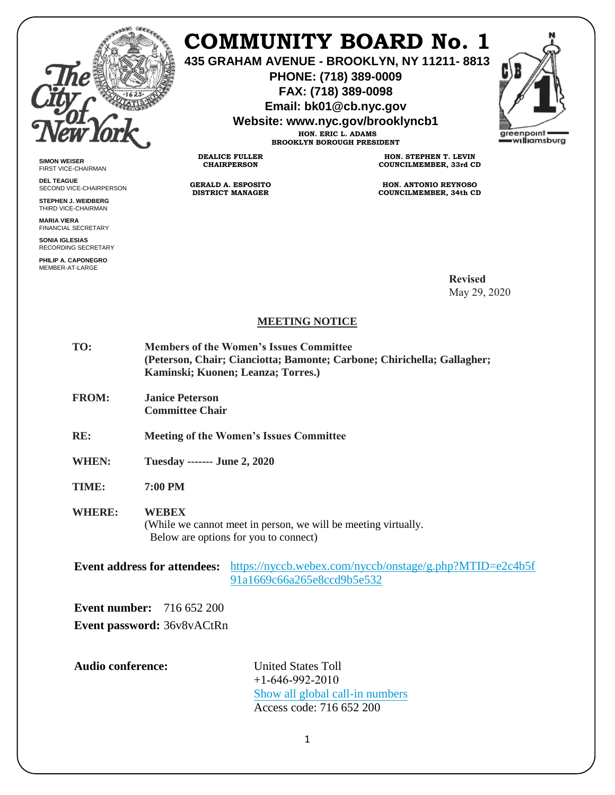

**SIMON WEISER** FIRST VICE-CHAIRMAN **DEL TEAGUE**

SECOND VICE-CHAIRPERSON **STEPHEN J. WEIDBERG** THIRD VICE-CHAIRMAN **MARIA VIERA** FINANCIAL SECRETARY **SONIA IGLESIAS** RECORDING SECRETARY **PHILIP A. CAPONEGRO** MEMBER-AT-LARGE

## **COMMUNITY BOARD No. 1**

**435 GRAHAM AVENUE - BROOKLYN, NY 11211- 8813** 

**PHONE: (718) 389-0009 FAX: (718) 389-0098** 

**Email: bk01@cb.nyc.gov** 

**Website: www.nyc.gov/brooklyncb1** 



**HON. ERIC L. ADAMS BROOKLYN BOROUGH PRESIDENT** 

**DEALICE FULLER CHAIRPERSON**

**GERALD A. ESPOSITO DISTRICT MANAGER**

**HON. STEPHEN T. LEVIN COUNCILMEMBER, 33rd CD**

**HON. ANTONIO REYNOSO COUNCILMEMBER, 34th CD**

> **Revised** May 29, 2020

## **MEETING NOTICE**

| TO: | <b>Members of the Women's Issues Committee</b>                          |
|-----|-------------------------------------------------------------------------|
|     | (Peterson, Chair; Cianciotta; Bamonte; Carbone; Chirichella; Gallagher; |
|     | Kaminski; Kuonen; Leanza; Torres.)                                      |
|     |                                                                         |

- **FROM: Janice Peterson Committee Chair**
- **RE: Meeting of the Women's Issues Committee**
- **WHEN: Tuesday ------- June 2, 2020**

**TIME: 7:00 PM**

## **WHERE: WEBEX**

(While we cannot meet in person, we will be meeting virtually. Below are options for you to connect)

Event address for attendees: [https://nyccb.webex.com/nyccb/onstage/g.php?MTID=e2c4b5f](https://nyccb.webex.com/nyccb/onstage/g.php?MTID=e2c4b5f91a1669c66a265e8ccd9b5e532) [91a1669c66a265e8ccd9b5e532](https://nyccb.webex.com/nyccb/onstage/g.php?MTID=e2c4b5f91a1669c66a265e8ccd9b5e532)

**Event number:** 716 652 200 **Event password:** 36v8vACtRnz

**Audio conference:** United States Toll

 $+1-646-992-2010$ [Show all global call-in numbers](https://nyccb.webex.com/cmp3300/webcomponents/widget/globalcallin/globalcallin.do?siteurl=nyccb&serviceType=EC&eventID=981323142&tollFree=0) Access code: 716 652 200